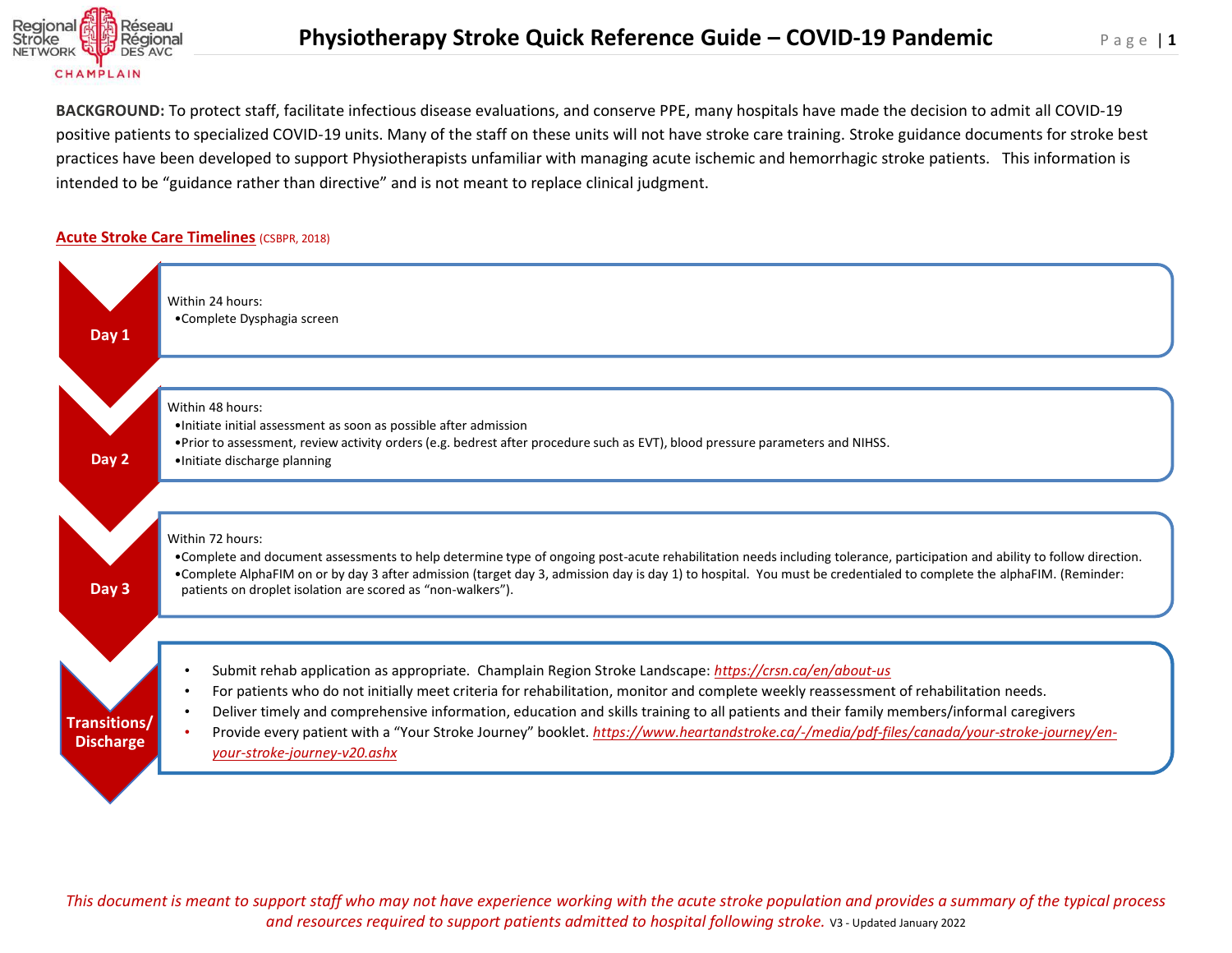

**BACKGROUND:** To protect staff, facilitate infectious disease evaluations, and conserve PPE, many hospitals have made the decision to admit all COVID-19 positive patients to specialized COVID-19 units. Many of the staff on these units will not have stroke care training. Stroke guidance documents for stroke best practices have been developed to support Physiotherapists unfamiliar with managing acute ischemic and hemorrhagic stroke patients. This information is intended to be "guidance rather than directive" and is not meant to replace clinical judgment.

## **Acute Stroke Care Timelines** (CSBPR, 2018)



*This document is meant to support staff who may not have experience working with the acute stroke population and provides a summary of the typical process and resources required to support patients admitted to hospital following stroke.* V3 - Updated January 2022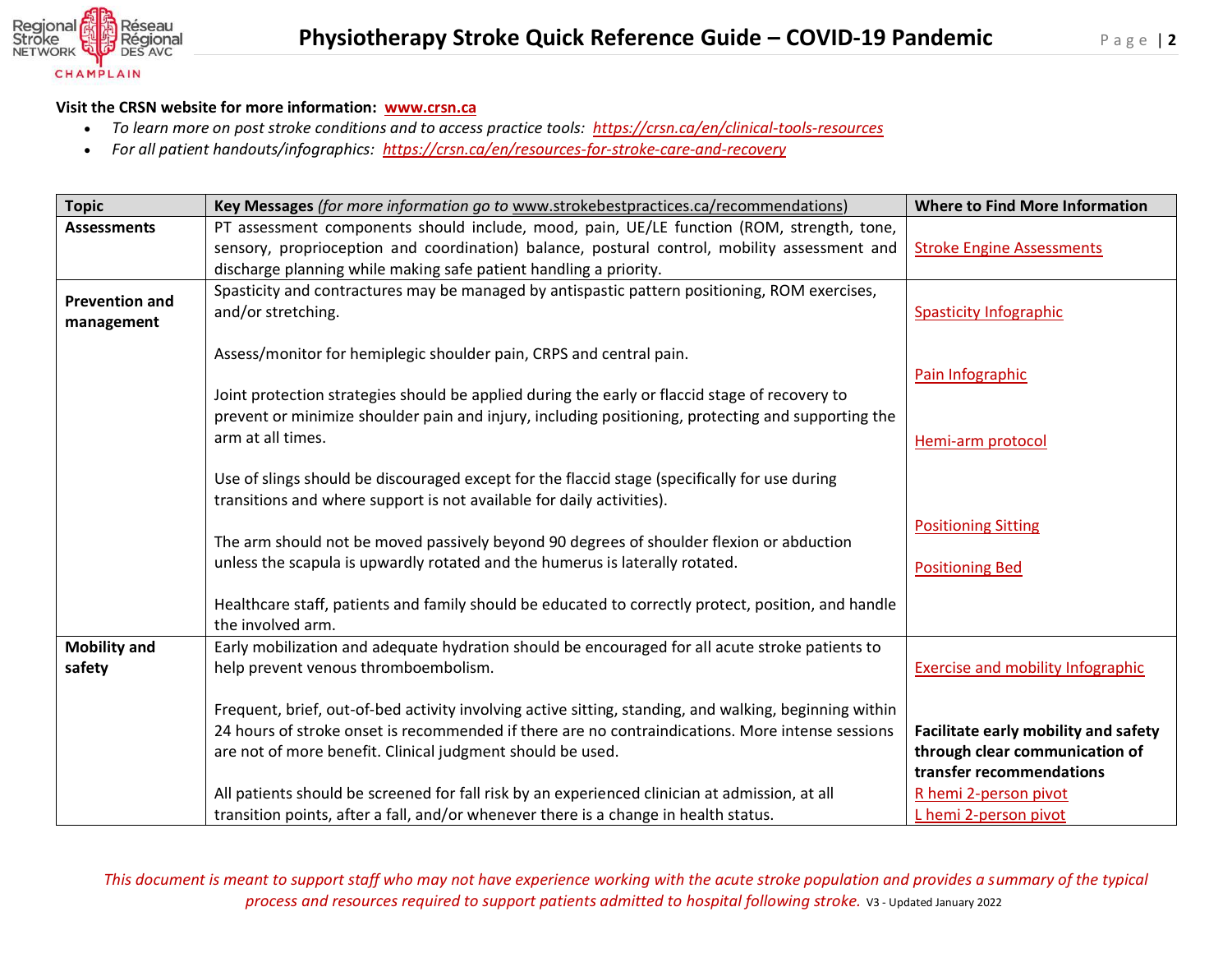

## **Visit the CRSN website for more information: [www.crsn.ca](http://www.crsn.ca/)**

- *To learn more on post stroke conditions and to access practice tools: <https://crsn.ca/en/clinical-tools-resources>*
- *For all patient handouts/infographics: <https://crsn.ca/en/resources-for-stroke-care-and-recovery>*

| <b>Topic</b>          | Key Messages (for more information go to www.strokebestpractices.ca/recommendations)                                                                                   | <b>Where to Find More Information</b>    |
|-----------------------|------------------------------------------------------------------------------------------------------------------------------------------------------------------------|------------------------------------------|
| <b>Assessments</b>    | PT assessment components should include, mood, pain, UE/LE function (ROM, strength, tone,                                                                              |                                          |
|                       | sensory, proprioception and coordination) balance, postural control, mobility assessment and                                                                           | <b>Stroke Engine Assessments</b>         |
|                       | discharge planning while making safe patient handling a priority.                                                                                                      |                                          |
| <b>Prevention and</b> | Spasticity and contractures may be managed by antispastic pattern positioning, ROM exercises,                                                                          |                                          |
| management            | and/or stretching.                                                                                                                                                     | <b>Spasticity Infographic</b>            |
|                       |                                                                                                                                                                        |                                          |
|                       | Assess/monitor for hemiplegic shoulder pain, CRPS and central pain.                                                                                                    |                                          |
|                       |                                                                                                                                                                        | Pain Infographic                         |
|                       | Joint protection strategies should be applied during the early or flaccid stage of recovery to                                                                         |                                          |
|                       | prevent or minimize shoulder pain and injury, including positioning, protecting and supporting the                                                                     |                                          |
|                       | arm at all times.                                                                                                                                                      | Hemi-arm protocol                        |
|                       |                                                                                                                                                                        |                                          |
|                       | Use of slings should be discouraged except for the flaccid stage (specifically for use during<br>transitions and where support is not available for daily activities). |                                          |
|                       |                                                                                                                                                                        |                                          |
|                       | The arm should not be moved passively beyond 90 degrees of shoulder flexion or abduction                                                                               | <b>Positioning Sitting</b>               |
|                       | unless the scapula is upwardly rotated and the humerus is laterally rotated.                                                                                           |                                          |
|                       |                                                                                                                                                                        | <b>Positioning Bed</b>                   |
|                       | Healthcare staff, patients and family should be educated to correctly protect, position, and handle                                                                    |                                          |
|                       | the involved arm.                                                                                                                                                      |                                          |
| <b>Mobility and</b>   | Early mobilization and adequate hydration should be encouraged for all acute stroke patients to                                                                        |                                          |
| safety                | help prevent venous thromboembolism.                                                                                                                                   | <b>Exercise and mobility Infographic</b> |
|                       |                                                                                                                                                                        |                                          |
|                       | Frequent, brief, out-of-bed activity involving active sitting, standing, and walking, beginning within                                                                 |                                          |
|                       | 24 hours of stroke onset is recommended if there are no contraindications. More intense sessions                                                                       | Facilitate early mobility and safety     |
|                       | are not of more benefit. Clinical judgment should be used.                                                                                                             | through clear communication of           |
|                       |                                                                                                                                                                        | transfer recommendations                 |
|                       | All patients should be screened for fall risk by an experienced clinician at admission, at all                                                                         | R hemi 2-person pivot                    |
|                       | transition points, after a fall, and/or whenever there is a change in health status.                                                                                   | L hemi 2-person pivot                    |

*This document is meant to support staff who may not have experience working with the acute stroke population and provides a summary of the typical process and resources required to support patients admitted to hospital following stroke.* V3 - Updated January 2022